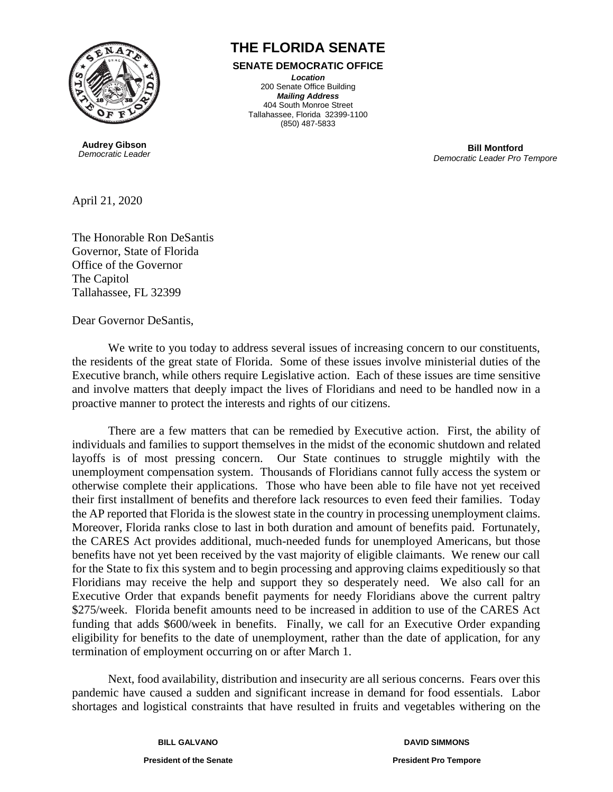

**Audrey Gibson** *Democratic Leader*

## **THE FLORIDA SENATE**

## **SENATE DEMOCRATIC OFFICE**

*Location* 200 Senate Office Building *Mailing Address* 404 South Monroe Street Tallahassee, Florida 32399-1100 (850) 487-5833

> **Bill Montford** *Democratic Leader Pro Tempore*

April 21, 2020

The Honorable Ron DeSantis Governor, State of Florida Office of the Governor The Capitol Tallahassee, FL 32399

Dear Governor DeSantis,

We write to you today to address several issues of increasing concern to our constituents, the residents of the great state of Florida. Some of these issues involve ministerial duties of the Executive branch, while others require Legislative action. Each of these issues are time sensitive and involve matters that deeply impact the lives of Floridians and need to be handled now in a proactive manner to protect the interests and rights of our citizens.

There are a few matters that can be remedied by Executive action. First, the ability of individuals and families to support themselves in the midst of the economic shutdown and related layoffs is of most pressing concern. Our State continues to struggle mightily with the unemployment compensation system. Thousands of Floridians cannot fully access the system or otherwise complete their applications. Those who have been able to file have not yet received their first installment of benefits and therefore lack resources to even feed their families. Today the AP reported that Florida is the slowest state in the country in processing unemployment claims. Moreover, Florida ranks close to last in both duration and amount of benefits paid. Fortunately, the CARES Act provides additional, much-needed funds for unemployed Americans, but those benefits have not yet been received by the vast majority of eligible claimants. We renew our call for the State to fix this system and to begin processing and approving claims expeditiously so that Floridians may receive the help and support they so desperately need. We also call for an Executive Order that expands benefit payments for needy Floridians above the current paltry \$275/week. Florida benefit amounts need to be increased in addition to use of the CARES Act funding that adds \$600/week in benefits. Finally, we call for an Executive Order expanding eligibility for benefits to the date of unemployment, rather than the date of application, for any termination of employment occurring on or after March 1.

Next, food availability, distribution and insecurity are all serious concerns. Fears over this pandemic have caused a sudden and significant increase in demand for food essentials. Labor shortages and logistical constraints that have resulted in fruits and vegetables withering on the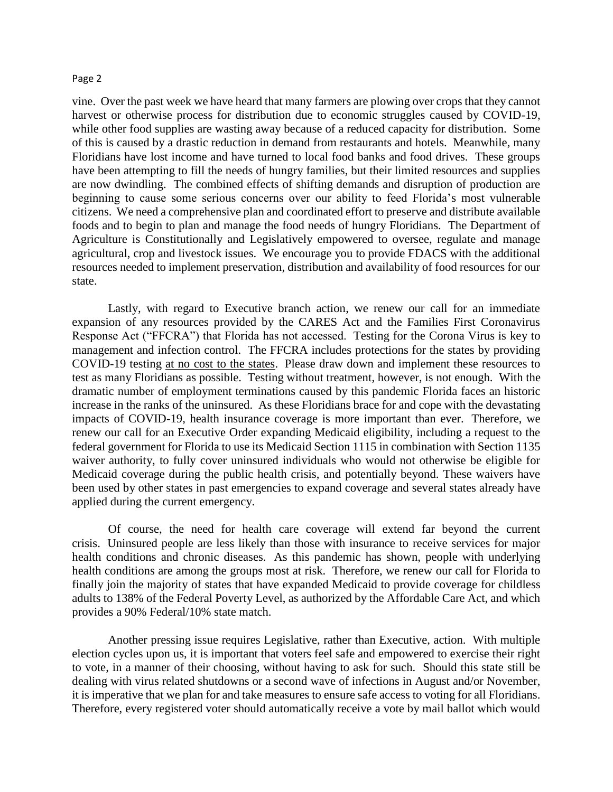## Page 2

vine. Over the past week we have heard that many farmers are plowing over crops that they cannot harvest or otherwise process for distribution due to economic struggles caused by COVID-19, while other food supplies are wasting away because of a reduced capacity for distribution. Some of this is caused by a drastic reduction in demand from restaurants and hotels. Meanwhile, many Floridians have lost income and have turned to local food banks and food drives. These groups have been attempting to fill the needs of hungry families, but their limited resources and supplies are now dwindling. The combined effects of shifting demands and disruption of production are beginning to cause some serious concerns over our ability to feed Florida's most vulnerable citizens. We need a comprehensive plan and coordinated effort to preserve and distribute available foods and to begin to plan and manage the food needs of hungry Floridians. The Department of Agriculture is Constitutionally and Legislatively empowered to oversee, regulate and manage agricultural, crop and livestock issues. We encourage you to provide FDACS with the additional resources needed to implement preservation, distribution and availability of food resources for our state.

Lastly, with regard to Executive branch action, we renew our call for an immediate expansion of any resources provided by the CARES Act and the Families First Coronavirus Response Act ("FFCRA") that Florida has not accessed. Testing for the Corona Virus is key to management and infection control. The FFCRA includes protections for the states by providing COVID-19 testing at no cost to the states. Please draw down and implement these resources to test as many Floridians as possible. Testing without treatment, however, is not enough. With the dramatic number of employment terminations caused by this pandemic Florida faces an historic increase in the ranks of the uninsured. As these Floridians brace for and cope with the devastating impacts of COVID-19, health insurance coverage is more important than ever. Therefore, we renew our call for an Executive Order expanding Medicaid eligibility, including a request to the federal government for Florida to use its Medicaid Section 1115 in combination with Section 1135 waiver authority, to fully cover uninsured individuals who would not otherwise be eligible for Medicaid coverage during the public health crisis, and potentially beyond. These waivers have been used by other states in past emergencies to expand coverage and several states already have applied during the current emergency.

Of course, the need for health care coverage will extend far beyond the current crisis. Uninsured people are less likely than those with insurance to receive services for major health conditions and chronic diseases. As this pandemic has shown, people with underlying health conditions are among the groups most at risk. Therefore, we renew our call for Florida to finally join the majority of states that have expanded Medicaid to provide coverage for childless adults to 138% of the Federal Poverty Level, as authorized by the Affordable Care Act, and which provides a 90% Federal/10% state match.

Another pressing issue requires Legislative, rather than Executive, action. With multiple election cycles upon us, it is important that voters feel safe and empowered to exercise their right to vote, in a manner of their choosing, without having to ask for such. Should this state still be dealing with virus related shutdowns or a second wave of infections in August and/or November, it is imperative that we plan for and take measures to ensure safe access to voting for all Floridians. Therefore, every registered voter should automatically receive a vote by mail ballot which would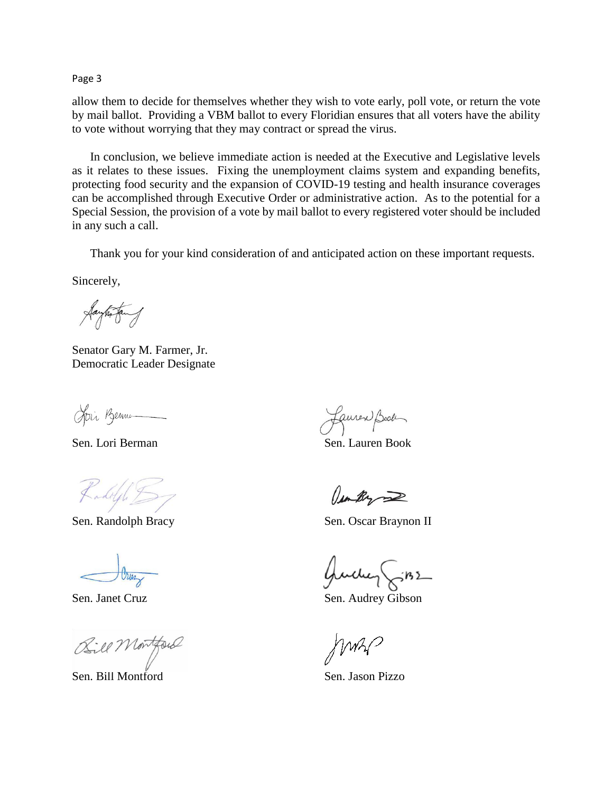Page 3

allow them to decide for themselves whether they wish to vote early, poll vote, or return the vote by mail ballot. Providing a VBM ballot to every Floridian ensures that all voters have the ability to vote without worrying that they may contract or spread the virus.

In conclusion, we believe immediate action is needed at the Executive and Legislative levels as it relates to these issues. Fixing the unemployment claims system and expanding benefits, protecting food security and the expansion of COVID-19 testing and health insurance coverages can be accomplished through Executive Order or administrative action. As to the potential for a Special Session, the provision of a vote by mail ballot to every registered voter should be included in any such a call.

Thank you for your kind consideration of and anticipated action on these important requests.

Sincerely,

Jayhortany

Senator Gary M. Farmer, Jr. Democratic Leader Designate

Join Benne

Kadolph D

Bill Montford

Sen. Bill Montford Sen. Jason Pizzo

Lauren Book

Sen. Lori Berman Sen. Lauren Book

am By

Sen. Randolph Bracy Sen. Oscar Braynon II

Guilley

Sen. Janet Cruz Sen. Audrey Gibson